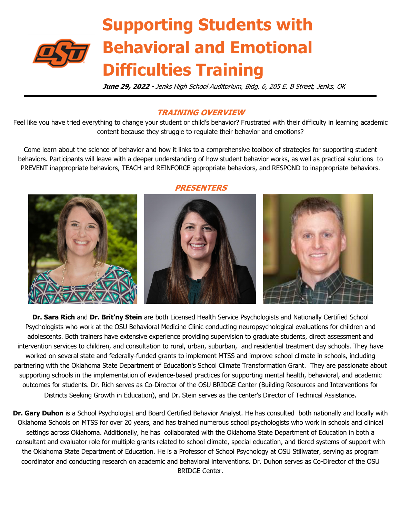

# **Supporting Students with Behavioral and Emotional Difficulties Training**

**June 29, 2022** - Jenks High School Auditorium, Bldg. 6, 205 E. B Street, Jenks, OK

## **TRAINING OVERVIEW**

Feel like you have tried everything to change your student or child's behavior? Frustrated with their difficulty in learning academic content because they struggle to regulate their behavior and emotions?

Come learn about the science of behavior and how it links to a comprehensive toolbox of strategies for supporting student behaviors. Participants will leave with a deeper understanding of how student behavior works, as well as practical solutions to PREVENT inappropriate behaviors, TEACH and REINFORCE appropriate behaviors, and RESPOND to inappropriate behaviors.

# 

### **PRESENTERS**

**Dr. Sara Rich** and **Dr. Brit'ny Stein** are both Licensed Health Service Psychologists and Nationally Certified School Psychologists who work at the OSU Behavioral Medicine Clinic conducting neuropsychological evaluations for children and adolescents. Both trainers have extensive experience providing supervision to graduate students, direct assessment and intervention services to children, and consultation to rural, urban, suburban, and residential treatment day schools. They have worked on several state and federally-funded grants to implement MTSS and improve school climate in schools, including partnering with the Oklahoma State Department of Education's School Climate Transformation Grant. They are passionate about supporting schools in the implementation of evidence-based practices for supporting mental health, behavioral, and academic outcomes for students. Dr. Rich serves as Co-Director of the OSU BRIDGE Center (Building Resources and Interventions for Districts Seeking Growth in Education), and Dr. Stein serves as the center's Director of Technical Assistance.

**Dr. Gary Duhon** is a School Psychologist and Board Certified Behavior Analyst. He has consulted both nationally and locally with Oklahoma Schools on MTSS for over 20 years, and has trained numerous school psychologists who work in schools and clinical settings across Oklahoma. Additionally, he has collaborated with the Oklahoma State Department of Education in both a consultant and evaluator role for multiple grants related to school climate, special education, and tiered systems of support with the Oklahoma State Department of Education. He is a Professor of School Psychology at OSU Stillwater, serving as program coordinator and conducting research on academic and behavioral interventions. Dr. Duhon serves as Co-Director of the OSU BRIDGE Center.